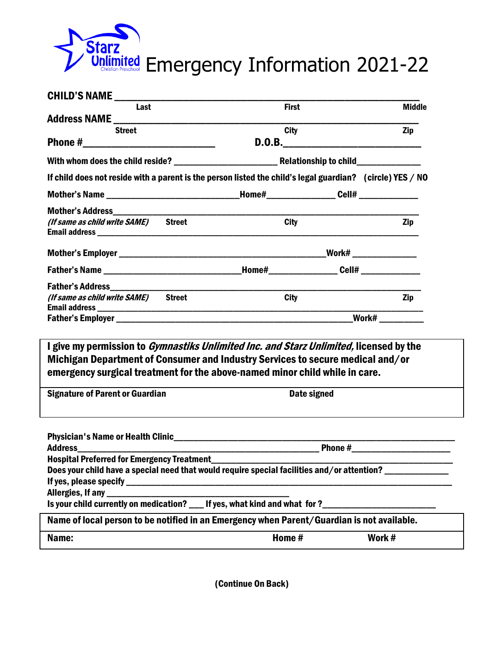

| Last                                                                                                      | <b>First</b>            | <b>Middle</b> |  |
|-----------------------------------------------------------------------------------------------------------|-------------------------|---------------|--|
|                                                                                                           |                         |               |  |
| <b>Street</b>                                                                                             | <b>City</b>             | <b>Zip</b>    |  |
|                                                                                                           |                         |               |  |
|                                                                                                           |                         |               |  |
| If child does not reside with a parent is the person listed the child's legal guardian? (circle) YES / NO |                         |               |  |
| Mother's Name ________________________________Home#_________________Cell# _____________                   |                         |               |  |
|                                                                                                           |                         |               |  |
| (If same as child write SAME) Street                                                                      | <b>City</b>             | Zip           |  |
|                                                                                                           |                         |               |  |
| Father's Name _________________________________Home#_________________Cell# ________________               |                         |               |  |
|                                                                                                           |                         |               |  |
| (If same as child write SAME) Street                                                                      | <b>City</b>             | <b>Zip</b>    |  |
|                                                                                                           | <b>Work#</b> __________ |               |  |

Michigan Department of Consumer and Industry Services to secure medical and/or emergency surgical treatment for the above-named minor child while in care.

Signature of Parent or Guardian Date signed

|                                                                                                     |        | Phone # _____________________ |
|-----------------------------------------------------------------------------------------------------|--------|-------------------------------|
|                                                                                                     |        |                               |
| Does your child have a special need that would require special facilities and/or attention?         |        |                               |
|                                                                                                     |        |                               |
|                                                                                                     |        |                               |
| Is your child currently on medication? ___ If yes, what kind and what for?_________________________ |        |                               |
| Name of local person to be notified in an Emergency when Parent/Guardian is not available.          |        |                               |
| Name:                                                                                               | Home # | Work #                        |

(Continue On Back)